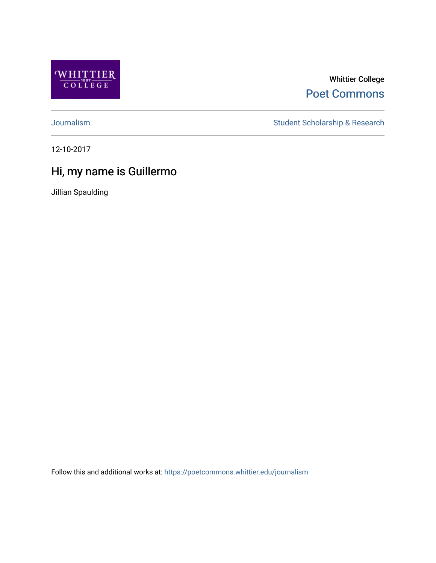

Whittier College [Poet Commons](https://poetcommons.whittier.edu/) 

[Journalism](https://poetcommons.whittier.edu/journalism) Student Scholarship & Research

12-10-2017

## Hi, my name is Guillermo

Jillian Spaulding

Follow this and additional works at: [https://poetcommons.whittier.edu/journalism](https://poetcommons.whittier.edu/journalism?utm_source=poetcommons.whittier.edu%2Fjournalism%2F3&utm_medium=PDF&utm_campaign=PDFCoverPages)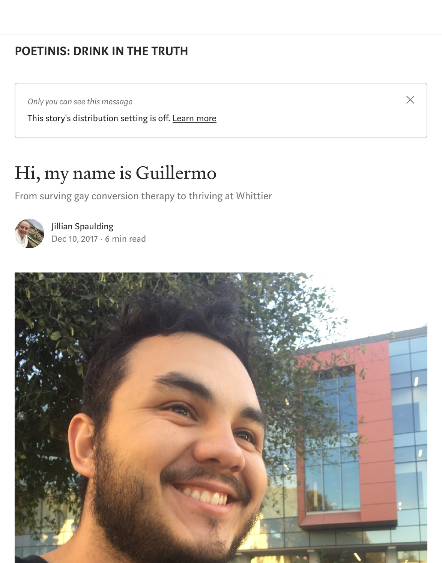## [POETINIS: DRINK IN THE TRUTH](https://medium.com/engl-201?source=post_page-----d9aae5b64569----------------------)

*Only you can see this message*

This story's distribution setting is off. [Learn more](https://help.medium.com/hc/en-us/articles/360018834334?source=post_page-----d9aae5b64569----------------------)

## Hi, my name is Guillermo

From surving gay conversion therapy to thriving at Whittier



[Jillian Spaulding](https://medium.com/@jspauldi?source=post_page-----d9aae5b64569----------------------) [Dec 10, 2017](https://medium.com/engl-201/my-life-its-gonna-get-fucking-tragic-d9aae5b64569?source=post_page-----d9aae5b64569----------------------) · 6 min read



 $\times$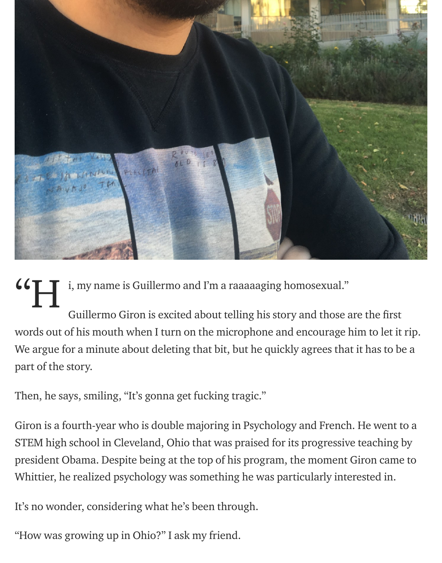

i, my name is Guillermo and I'm a raaaaaging homosexual." "H

Guillermo Giron is excited about telling his story and those are the first words out of his mouth when I turn on the microphone and encourage him to let it rip. We argue for a minute about deleting that bit, but he quickly agrees that it has to be a part of the story.

Then, he says, smiling, "It's gonna get fucking tragic."

Giron is a fourth-year who is double majoring in Psychology and French. He went to a STEM high school in Cleveland, Ohio that was praised for its progressive teaching by president Obama. Despite being at the top of his program, the moment Giron came to Whittier, he realized psychology was something he was particularly interested in.

It's no wonder, considering what he's been through.

"How was growing up in Ohio?" I ask my friend.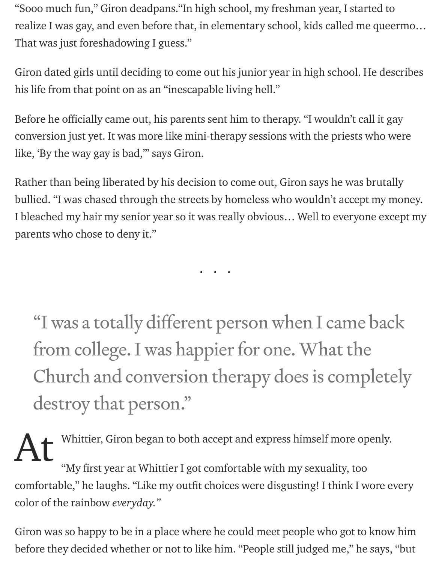"Sooo much fun," Giron deadpans."In high school, my freshman year, I started to realize I was gay, and even before that, in elementary school, kids called me queermo… That was just foreshadowing I guess."

Giron dated girls until deciding to come out his junior year in high school. He describes his life from that point on as an "inescapable living hell."

Before he officially came out, his parents sent him to therapy. "I wouldn't call it gay conversion just yet. It was more like mini-therapy sessions with the priests who were like, 'By the way gay is bad,'" says Giron.

Rather than being liberated by his decision to come out, Giron says he was brutally bullied. "I was chased through the streets by homeless who wouldn't accept my money. I bleached my hair my senior year so it was really obvious… Well to everyone except my parents who chose to deny it."

...

"I was a totally different person when I came back from college. I was happier for one. What the Church and conversion therapy does is completely destroy that person."

Whittier, Giron began to both accept and express himself more openly. "My first year at Whittier I got comfortable with my sexuality, too comfortable," he laughs. "Like my outfit choices were disgusting! I think I wore every color of the rainbow everyday." At

Giron was so happy to be in a place where he could meet people who got to know him before they decided whether or not to like him. "People still judged me," he says, "but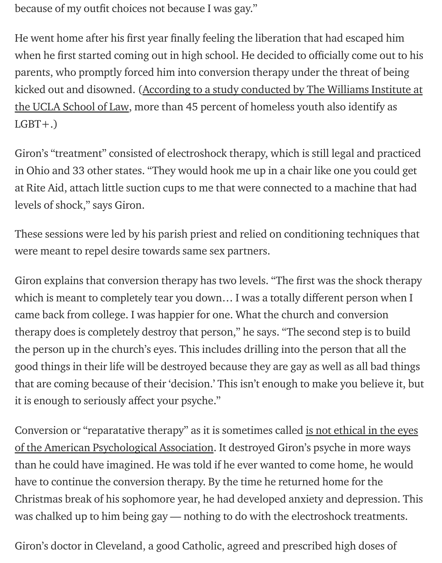because of my outfit choices not because I was gay."

He went home after his first year finally feeling the liberation that had escaped him when he first started coming out in high school. He decided to officially come out to his parents, who promptly forced him into conversion therapy under the threat of being [kicked out and disowned. \(According to a study conducted by The Williams Institute at](https://williamsinstitute.law.ucla.edu/wp-content/uploads/Durso-Gates-LGBT-Homeless-Youth-Survey-July-2012.pdf) the UCLA School of Law, more than 45 percent of homeless youth also identify as  $LGBT+.$ 

Giron's "treatment" consisted of electroshock therapy, which is still legal and practiced in Ohio and 33 other states. "They would hook me up in a chair like one you could get at Rite Aid, attach little suction cups to me that were connected to a machine that had levels of shock," says Giron.

These sessions were led by his parish priest and relied on conditioning techniques that were meant to repel desire towards same sex partners.

Giron explains that conversion therapy has two levels. "The first was the shock therapy which is meant to completely tear you down... I was a totally different person when I came back from college. I was happier for one. What the church and conversion therapy does is completely destroy that person," he says. "The second step is to build the person up in the church's eyes. This includes drilling into the person that all the good things in their life will be destroyed because they are gay as well as all bad things that are coming because of their 'decision.' This isn't enough to make you believe it, but it is enough to seriously affect your psyche."

[Conversion or "reparatative therapy" as it is sometimes called is not ethical in the eyes](http://psychology.ucdavis.edu/rainbow/html/resolution97_text.html) of the American Psychological Association. It destroyed Giron's psyche in more ways than he could have imagined. He was told if he ever wanted to come home, he would have to continue the conversion therapy. By the time he returned home for the Christmas break of his sophomore year, he had developed anxiety and depression. This was chalked up to him being gay — nothing to do with the electroshock treatments.

Giron's doctor in Cleveland, a good Catholic, agreed and prescribed high doses of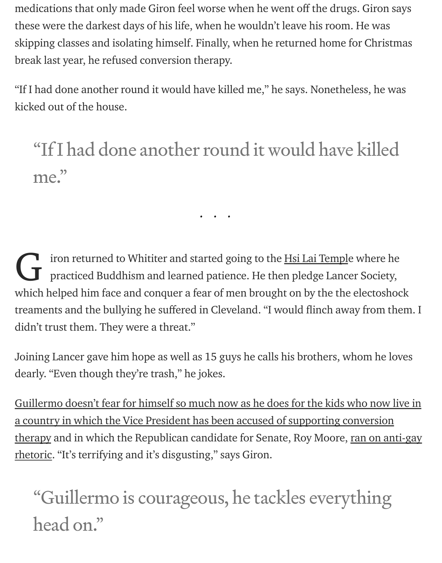medications that only made Giron feel worse when he went off the drugs. Giron says these were the darkest days of his life, when he wouldn't leave his room. He was skipping classes and isolating himself. Finally, when he returned home for Christmas break last year, he refused conversion therapy.

"If I had done another round it would have killed me," he says. Nonetheless, he was kicked out of the house.

## "If I had done another round it would have killed me."

...

iron returned to Whititer and started going to the **Hsi Lai Temple where he** practiced Buddhism and learned patience. He then pledge Lancer Society, which helped him face and conquer a fear of men brought on by the the electoshock treaments and the bullying he suffered in Cleveland. "I would flinch away from them. I didn't trust them. They were a threat." G

Joining Lancer gave him hope as well as 15 guys he calls his brothers, whom he loves dearly. "Even though they're trash," he jokes.

[Guillermo doesn't fear for himself so much now as he does for the kids who now live in](https://www.nytimes.com/2016/11/30/us/politics/mike-pence-and-conversion-therapy-a-history.html) a country in which the Vice President has been accused of supporting conversion [therapy and in which the Republican candidate for Senate, Roy Moore, ran on anti-gay](http://time.com/5061800/roy-moore-homosexuality-illegal/) rhetoric. "It's terrifying and it's disgusting," says Giron.

"Guillermo is courageous, he tackles everything head on."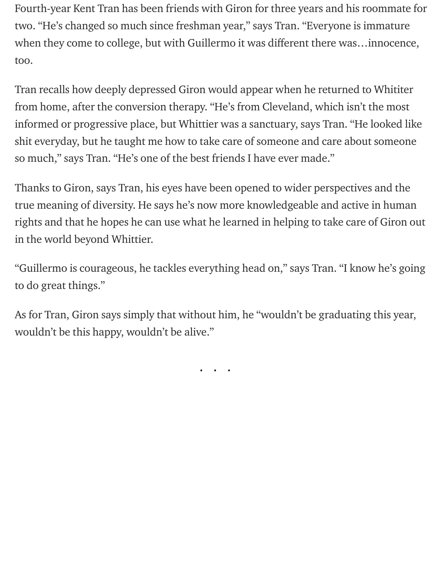Fourth-year Kent Tran has been friends with Giron for three years and his roommate for two. "He's changed so much since freshman year," says Tran. "Everyone is immature when they come to college, but with Guillermo it was different there was...innocence, too.

Tran recalls how deeply depressed Giron would appear when he returned to Whititer from home, after the conversion therapy. "He's from Cleveland, which isn't the most informed or progressive place, but Whittier was a sanctuary, says Tran. "He looked like shit everyday, but he taught me how to take care of someone and care about someone so much," says Tran. "He's one of the best friends I have ever made."

Thanks to Giron, says Tran, his eyes have been opened to wider perspectives and the true meaning of diversity. He says he's now more knowledgeable and active in human rights and that he hopes he can use what he learned in helping to take care of Giron out in the world beyond Whittier.

"Guillermo is courageous, he tackles everything head on," says Tran. "I know he's going to do great things."

As for Tran, Giron says simply that without him, he "wouldn't be graduating this year, wouldn't be this happy, wouldn't be alive."

...